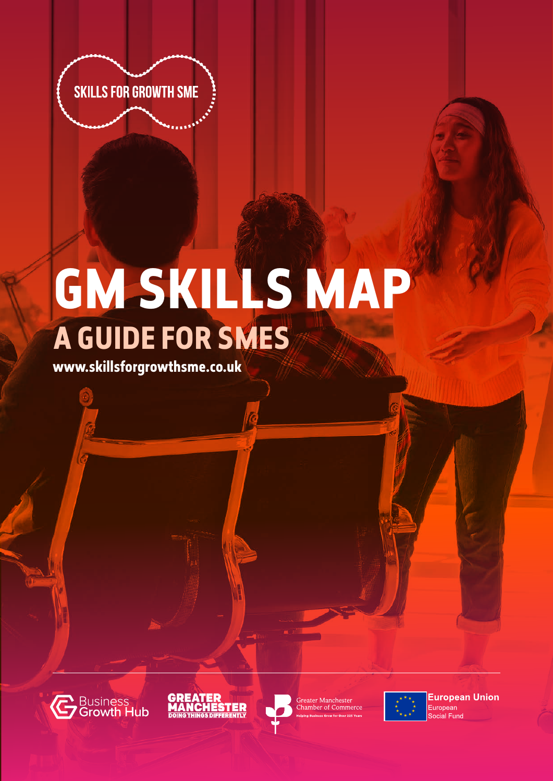

# **GM SKILLS MAP A GUIDE FOR SMES**

**www.skillsforgrowthsme.co.uk**







Greater Manchester **Chamber of Commerce** 



**European Union** European ocial Fund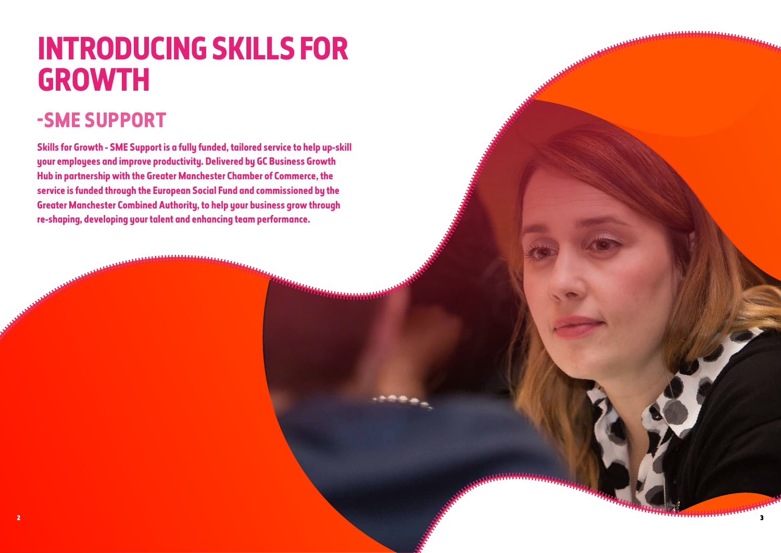# **INTRODUCING SKILLS FOR GROWTH**

## **-SME SUPPORT**

**Skills for Growth - SME Support is a fully funded, tailored service to help up-skill your employees and improve productivity. Delivered by GC Business Growth Hub in partnership with the Greater Manchester Chamber of Commerce, the service is funded through the European Social Fund and commissioned by the Greater Manchester Combined Authority, to help your business grow through re-shaping, developing your talent and enhancing team performance.**

minimi

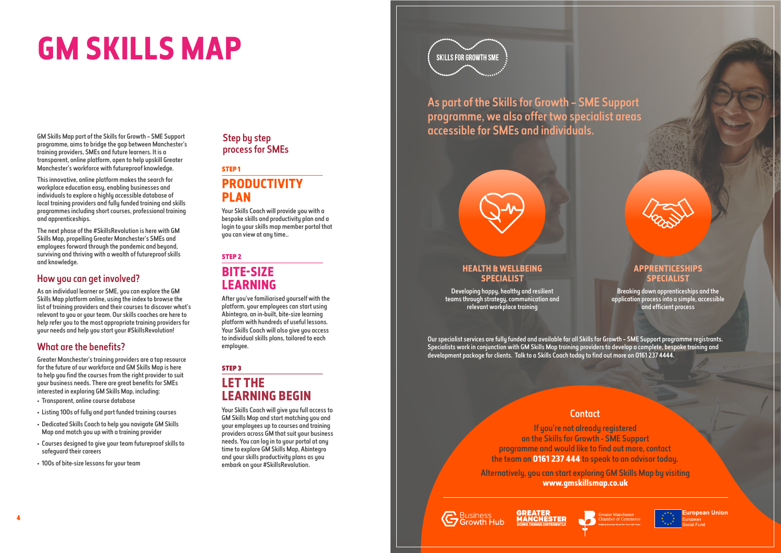# **GM SKILLS MAP**

GM Skills Map part of the Skills for Growth – SME Support programme, aims to bridge the gap between Manchester's training providers, SMEs and future learners. It is a transparent, online platform, open to help upskill Greater Manchester's workforce with futureproof knowledge.

This innovative, online platform makes the search for workplace education easy, enabling businesses and individuals to explore a highly accessible database of local training providers and fully funded training and skills programmes including short courses, professional training and apprenticeships.

The next phase of the #SkillsRevolution is here with GM Skills Map, propelling Greater Manchester's SMEs and employees forward through the pandemic and beyond, surviving and thriving with a wealth of futureproof skills and knowledge.

#### How you can get involved?

As an individual learner or SME, you can explore the GM Skills Map platform online, using the index to browse the list of training providers and their courses to discover what's relevant to you or your team. Our skills coaches are here to help refer you to the most appropriate training providers for your needs and help you start your #SkillsRevolution!

#### What are the benefits?

After you've familiarised yourself with the platform, your employees can start using Abintegro, an in-built, bite-size learning platform with hundreds of useful lessons. Your Skills Coach will also give you access to individual skills plans, tailored to each employee.

Greater Manchester's training providers are a top resource for the future of our workforce and GM Skills Map is here to help you find the courses from the right provider to suit your business needs. There are great benefits for SMEs interested in exploring GM Skills Map, including:

Our specialist services are fully funded and available for all Skills for Growth – SME Support programme registrants. Specialists work in conjunction with GM Skills Map training providers to develop a complete, bespoke training and development package for clients. Talk to a Skills Coach today to find out more on 0161 237 4444.

### **Contact**

- Transparent, online course database
- Listing 100s of fully and part funded training courses
- Dedicated Skills Coach to help you navigate GM Skills Map and match you up with a training provider
- Courses designed to give your team futureproof skills to safeguard their careers
- 100s of bite-size lessons for your team

#### Step by step process for SMEs

As part of the Skills for Growth – SME Support programme, we also offer two specialist areas accessible for SMEs and individuals.

#### STEP 1 **PRODUCTIVITY PLAN**

Your Skills Coach will provide you with a bespoke skills and productivity plan and a login to your skills map member portal that you can view at any time..

STEP 2

### **BITE-SIZE LEARNING**

#### STEP 3

### **LET THE LEARNING BEGIN**

Your Skills Coach will give you full access to GM Skills Map and start matching you and your employees up to courses and training providers across GM that suit your business needs. You can log in to your portal at any time to explore GM Skills Map, Abintegro and your skills productivity plans as you embark on your #SkillsRevolution.

# **SKILLS FOR GROWTH SME**

#### **HEALTH & WELLBEING SPECIALIST**

Developing happy, healthy and resilient teams through strategy, communication and relevant workplace training



Breaking down apprenticeships and the application process into a simple, accessible and efficient process





**uropean Union** 

If you're not already registered on the Skills for Growth - SME Support programme and would like to find out more, contact the team on **0161 237 444** to speak to an advisor today.

Alternatively, you can start exploring GM Skills Map by visiting **www.gmskillsmap.co.uk**

**G** Business<br>G Growth Hub